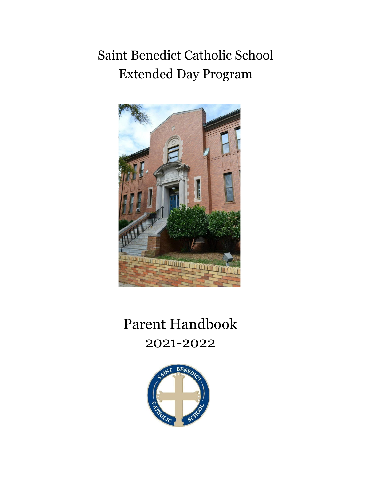# Saint Benedict Catholic School Extended Day Program



# Parent Handbook 2021-2022

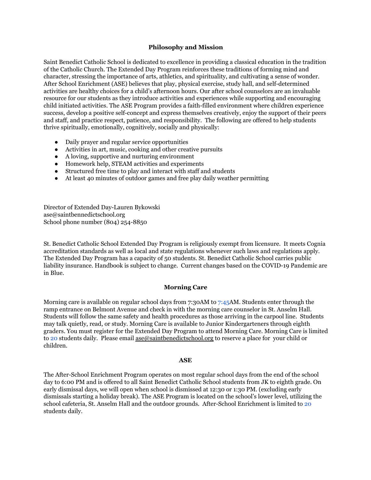## **Philosophy and Mission**

Saint Benedict Catholic School is dedicated to excellence in providing a classical education in the tradition of the Catholic Church. The Extended Day Program reinforces these traditions of forming mind and character, stressing the importance of arts, athletics, and spirituality, and cultivating a sense of wonder. After School Enrichment (ASE) believes that play, physical exercise, study hall, and self-determined activities are healthy choices for a child's afternoon hours. Our after school counselors are an invaluable resource for our students as they introduce activities and experiences while supporting and encouraging child initiated activities. The ASE Program provides a faith-filled environment where children experience success, develop a positive self-concept and express themselves creatively, enjoy the support of their peers and staff, and practice respect, patience, and responsibility. The following are offered to help students thrive spiritually, emotionally, cognitively, socially and physically:

- Daily prayer and regular service opportunities
- Activities in art, music, cooking and other creative pursuits
- A loving, supportive and nurturing environment
- Homework help, STEAM activities and experiments
- Structured free time to play and interact with staff and students
- At least 40 minutes of outdoor games and free play daily weather permitting

Director of Extended Day-Lauren Bykowski [ase@saintbennedictschool.org](mailto:ase@saintbennedictschool.org) School phone number (804) 254-8850

St. Benedict Catholic School Extended Day Program is religiously exempt from licensure. It meets Cognia accreditation standards as well as local and state regulations whenever such laws and regulations apply. The Extended Day Program has a capacity of 50 students. St. Benedict Catholic School carries public liability insurance. Handbook is subject to change. Current changes based on the COVID-19 Pandemic are in Blue.

#### **Morning Care**

Morning care is available on regular school days from 7:30AM to 7:45AM. Students enter through the ramp entrance on Belmont Avenue and check in with the morning care counselor in St. Anselm Hall. Students will follow the same safety and health procedures as those arriving in the carpool line. Students may talk quietly, read, or study. Morning Care is available to Junior Kindergarteners through eighth graders. You must register for the Extended Day Program to attend Morning Care. Morning Care is limited to 20 students daily. Please email [ase@saintbenedictschool.org](mailto:ase@saintbenedictschool.org) to reserve a place for your child or children.

## **ASE**

The After-School Enrichment Program operates on most regular school days from the end of the school day to 6:00 PM and is offered to all Saint Benedict Catholic School students from JK to eighth grade. On early dismissal days, we will open when school is dismissed at 12:30 or 1:30 PM. (excluding early dismissals starting a holiday break). The ASE Program is located on the school's lower level, utilizing the school cafeteria, St. Anselm Hall and the outdoor grounds. After-School Enrichment is limited to 20 students daily.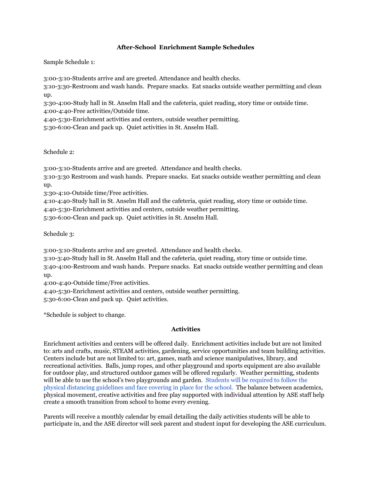# **After-School Enrichment Sample Schedules**

Sample Schedule 1:

3:00-3:10-Students arrive and are greeted. Attendance and health checks.

3:10-3:30-Restroom and wash hands. Prepare snacks. Eat snacks outside weather permitting and clean up.

3:30-4:00-Study hall in St. Anselm Hall and the cafeteria, quiet reading, story time or outside time. 4:00-4:40-Free activities/Outside time.

4:40-5:30-Enrichment activities and centers, outside weather permitting.

5:30-6:00-Clean and pack up. Quiet activities in St. Anselm Hall.

Schedule 2:

3:00-3:10-Students arrive and are greeted. Attendance and health checks.

3:10-3:30 Restroom and wash hands. Prepare snacks. Eat snacks outside weather permitting and clean up.

3:30-4:10-Outside time/Free activities.

4:10-4:40-Study hall in St. Anselm Hall and the cafeteria, quiet reading, story time or outside time.

4:40-5:30-Enrichment activities and centers, outside weather permitting.

5:30-6:00-Clean and pack up. Quiet activities in St. Anselm Hall.

Schedule 3:

3:00-3:10-Students arrive and are greeted. Attendance and health checks.

3:10-3:40-Study hall in St. Anselm Hall and the cafeteria, quiet reading, story time or outside time. 3:40-4:00-Restroom and wash hands. Prepare snacks. Eat snacks outside weather permitting and clean up.

4:00-4:40-Outside time/Free activities.

4:40-5:30-Enrichment activities and centers, outside weather permitting.

5:30-6:00-Clean and pack up. Quiet activities.

\*Schedule is subject to change.

## **Activities**

Enrichment activities and centers will be offered daily. Enrichment activities include but are not limited to: arts and crafts, music, STEAM activities, gardening, service opportunities and team building activities. Centers include but are not limited to: art, games, math and science manipulatives, library, and recreational activities. Balls, jump ropes, and other playground and sports equipment are also available for outdoor play, and structured outdoor games will be offered regularly. Weather permitting, students will be able to use the school's two playgrounds and garden. Students will be required to follow the physical distancing guidelines and face covering in place for the school. The balance between academics, physical movement, creative activities and free play supported with individual attention by ASE staff help create a smooth transition from school to home every evening.

Parents will receive a monthly calendar by email detailing the daily activities students will be able to participate in, and the ASE director will seek parent and student input for developing the ASE curriculum.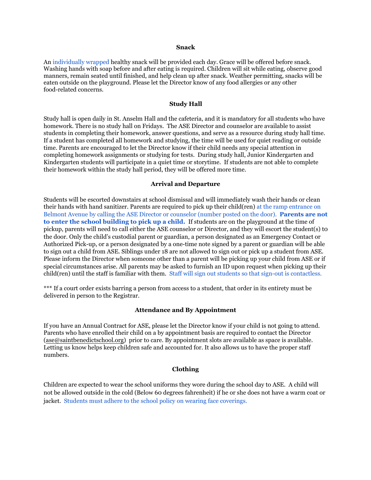#### **Snack**

An individually wrapped healthy snack will be provided each day. Grace will be offered before snack. Washing hands with soap before and after eating is required. Children will sit while eating, observe good manners, remain seated until finished, and help clean up after snack. Weather permitting, snacks will be eaten outside on the playground. Please let the Director know of any food allergies or any other food-related concerns.

#### **Study Hall**

Study hall is open daily in St. Anselm Hall and the cafeteria, and it is mandatory for all students who have homework. There is no study hall on Fridays. The ASE Director and counselor are available to assist students in completing their homework, answer questions, and serve as a resource during study hall time. If a student has completed all homework and studying, the time will be used for quiet reading or outside time. Parents are encouraged to let the Director know if their child needs any special attention in completing homework assignments or studying for tests. During study hall, Junior Kindergarten and Kindergarten students will participate in a quiet time or storytime. If students are not able to complete their homework within the study hall period, they will be offered more time.

#### **Arrival and Departure**

Students will be escorted downstairs at school dismissal and will immediately wash their hands or clean their hands with hand sanitizer. Parents are required to pick up their child(ren) at the ramp entrance on Belmont Avenue by calling the ASE Director or counselor (number posted on the door). **Parents are not to enter the school building to pick up a child.** If students are on the playground at the time of pickup, parents will need to call either the ASE counselor or Director, and they will escort the student(s) t0 the door. Only the child's custodial parent or guardian, a person designated as an Emergency Contact or Authorized Pick-up, or a person designated by a one-time note signed by a parent or guardian will be able to sign out a child from ASE. Siblings under 18 are not allowed to sign out or pick up a student from ASE. Please inform the Director when someone other than a parent will be picking up your child from ASE or if special circumstances arise. All parents may be asked to furnish an ID upon request when picking up their child(ren) until the staff is familiar with them. Staff will sign out students so that sign-out is contactless.

\*\*\* If a court order exists barring a person from access to a student, that order in its entirety must be delivered in person to the Registrar.

## **Attendance and By Appointment**

If you have an Annual Contract for ASE, please let the Director know if your child is not going to attend. Parents who have enrolled their child on a by appointment basis are required to contact the Director ([ase@saintbenedictschool.org](mailto:ase@saintbenedictschool.org)) prior to care. By appointment slots are available as space is available. Letting us know helps keep children safe and accounted for. It also allows us to have the proper staff numbers.

## **Clothing**

Children are expected to wear the school uniforms they wore during the school day to ASE. A child will not be allowed outside in the cold (Below 60 degrees fahrenheit) if he or she does not have a warm coat or jacket. Students must adhere to the school policy on wearing face coverings.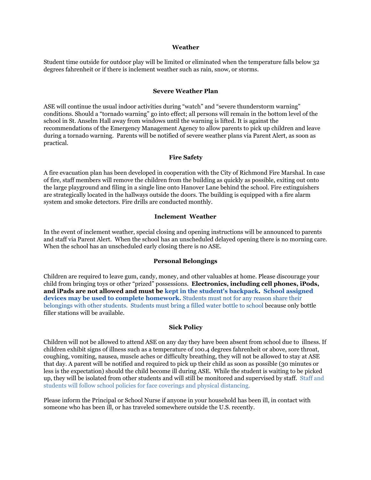#### **Weather**

Student time outside for outdoor play will be limited or eliminated when the temperature falls below 32 degrees fahrenheit or if there is inclement weather such as rain, snow, or storms.

# **Severe Weather Plan**

ASE will continue the usual indoor activities during "watch" and "severe thunderstorm warning" conditions. Should a "tornado warning" go into effect; all persons will remain in the bottom level of the school in St. Anselm Hall away from windows until the warning is lifted. It is against the recommendations of the Emergency Management Agency to allow parents to pick up children and leave during a tornado warning. Parents will be notified of severe weather plans via Parent Alert, as soon as practical.

## **Fire Safety**

A fire evacuation plan has been developed in cooperation with the City of Richmond Fire Marshal. In case of fire, staff members will remove the children from the building as quickly as possible, exiting out onto the large playground and filing in a single line onto Hanover Lane behind the school. Fire extinguishers are strategically located in the hallways outside the doors. The building is equipped with a fire alarm system and smoke detectors. Fire drills are conducted monthly.

## **Inclement Weather**

In the event of inclement weather, special closing and opening instructions will be announced to parents and staff via Parent Alert. When the school has an unscheduled delayed opening there is no morning care. When the school has an unscheduled early closing there is no ASE.

### **Personal Belongings**

Children are required to leave gum, candy, money, and other valuables at home. Please discourage your child from bringing toys or other "prized" possessions. **Electronics, including cell phones, iPods, and iPads are not allowed and must be kept in the student's backpack. School assigned devices may be used to complete homework.** Students must not for any reason share their belongings with other students. Students must bring a filled water bottle to school because only bottle filler stations will be available.

#### **Sick Policy**

Children will not be allowed to attend ASE on any day they have been absent from school due to illness. If children exhibit signs of illness such as a temperature of 100.4 degrees fahrenheit or above, sore throat, coughing, vomiting, nausea, muscle aches or difficulty breathing, they will not be allowed to stay at ASE that day. A parent will be notified and required to pick up their child as soon as possible (30 minutes or less is the expectation) should the child become ill during ASE. While the student is waiting to be picked up, they will be isolated from other students and will still be monitored and supervised by staff. Staff and students will follow school policies for face coverings and physical distancing.

Please inform the Principal or School Nurse if anyone in your household has been ill, in contact with someone who has been ill, or has traveled somewhere outside the U.S. recently.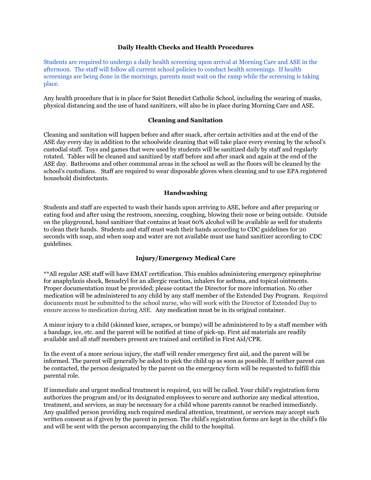## **Daily Health Checks and Health Procedures**

Students are required to undergo a daily health screening upon arrival at Morning Care and ASE in the afternoon. The staff will follow all current school policies to conduct health screenings. If health screenings are being done in the mornings, parents must wait on the ramp while the screening is taking place.

Any health procedure that is in place for Saint Benedict Catholic School, including the wearing of masks, physical distancing and the use of hand sanitizers, will also be in place during Morning Care and ASE.

# **Cleaning and Sanitation**

Cleaning and sanitation will happen before and after snack, after certain activities and at the end of the ASE day every day in addition to the schoolwide cleaning that will take place every evening by the school's custodial staff. Toys and games that were used by students will be sanitized daily by staff and regularly rotated. Tables will be cleaned and sanitized by staff before and after snack and again at the end of the ASE day. Bathrooms and other communal areas in the school as well as the floors will be cleaned by the school's custodians. Staff are required to wear disposable gloves when cleaning and to use EPA registered household disinfectants.

# **Handwashing**

Students and staff are expected to wash their hands upon arriving to ASE, before and after preparing or eating food and after using the restroom, sneezing, coughing, blowing their nose or being outside. Outside on the playground, hand sanitizer that contains at least 60% alcohol will be available as well for students to clean their hands. Students and staff must wash their hands according to CDC guidelines for 20 seconds with soap, and when soap and water are not available must use hand sanitizer according to CDC guidelines.

# **Injury/Emergency Medical Care**

\*\*All regular ASE staff will have EMAT certification. This enables administering emergency epinephrine for anaphylaxis shock, Benadryl for an allergic reaction, inhalers for asthma, and topical ointments. Proper documentation must be provided; please contact the Director for more information. No other medication will be administered to any child by any staff member of the Extended Day Program. Required documents must be submitted to the school nurse, who will work with the Director of Extended Day to ensure access to medication during ASE. Any medication must be in its original container.

A minor injury to a child (skinned knee, scrapes, or bumps) will be administered to by a staff member with a bandage, ice, etc. and the parent will be notified at time of pick-up. First aid materials are readily available and all staff members present are trained and certified in First Aid/CPR.

In the event of a more serious injury, the staff will render emergency first aid, and the parent will be informed. The parent will generally be asked to pick the child up as soon as possible. If neither parent can be contacted, the person designated by the parent on the emergency form will be requested to fulfill this parental role.

If immediate and urgent medical treatment is required, 911 will be called. Your child's registration form authorizes the program and/or its designated employees to secure and authorize any medical attention, treatment, and services, as may be necessary for a child whose parents cannot be reached immediately. Any qualified person providing such required medical attention, treatment, or services may accept such written consent as if given by the parent in person. The child's registration forms are kept in the child's file and will be sent with the person accompanying the child to the hospital.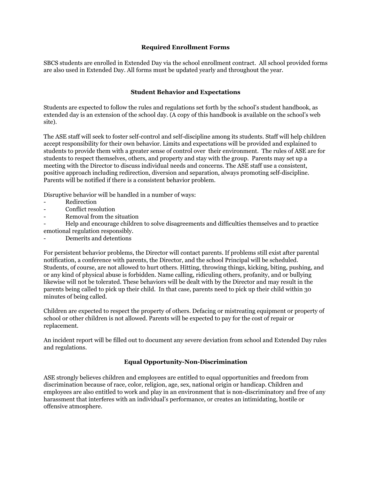# **Required Enrollment Forms**

SBCS students are enrolled in Extended Day via the school enrollment contract. All school provided forms are also used in Extended Day. All forms must be updated yearly and throughout the year.

# **Student Behavior and Expectations**

Students are expected to follow the rules and regulations set forth by the school's student handbook, as extended day is an extension of the school day. (A copy of this handbook is available on the school's web site).

The ASE staff will seek to foster self-control and self-discipline among its students. Staff will help children accept responsibility for their own behavior. Limits and expectations will be provided and explained to students to provide them with a greater sense of control over their environment. The rules of ASE are for students to respect themselves, others, and property and stay with the group. Parents may set up a meeting with the Director to discuss individual needs and concerns. The ASE staff use a consistent, positive approach including redirection, diversion and separation, always promoting self-discipline. Parents will be notified if there is a consistent behavior problem.

Disruptive behavior will be handled in a number of ways:

- Redirection
- Conflict resolution
- Removal from the situation

- Help and encourage children to solve disagreements and difficulties themselves and to practice emotional regulation responsibly.

Demerits and detentions

For persistent behavior problems, the Director will contact parents. If problems still exist after parental notification, a conference with parents, the Director, and the school Principal will be scheduled. Students, of course, are not allowed to hurt others. Hitting, throwing things, kicking, biting, pushing, and or any kind of physical abuse is forbidden. Name calling, ridiculing others, profanity, and or bullying likewise will not be tolerated. These behaviors will be dealt with by the Director and may result in the parents being called to pick up their child. In that case, parents need to pick up their child within 30 minutes of being called.

Children are expected to respect the property of others. Defacing or mistreating equipment or property of school or other children is not allowed. Parents will be expected to pay for the cost of repair or replacement.

An incident report will be filled out to document any severe deviation from school and Extended Day rules and regulations.

# **Equal Opportunity-Non-Discrimination**

ASE strongly believes children and employees are entitled to equal opportunities and freedom from discrimination because of race, color, religion, age, sex, national origin or handicap. Children and employees are also entitled to work and play in an environment that is non-discriminatory and free of any harassment that interferes with an individual's performance, or creates an intimidating, hostile or offensive atmosphere.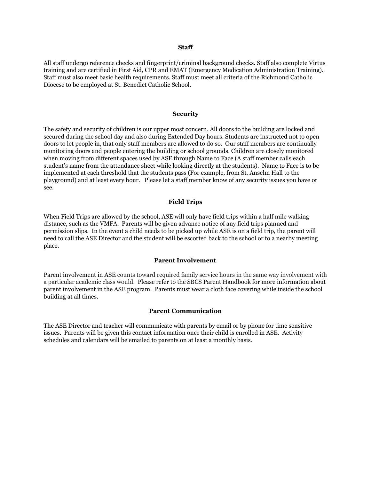#### **Staff**

All staff undergo reference checks and fingerprint/criminal background checks. Staff also complete Virtus training and are certified in First Aid, CPR and EMAT (Emergency Medication Administration Training). Staff must also meet basic health requirements. Staff must meet all criteria of the Richmond Catholic Diocese to be employed at St. Benedict Catholic School.

#### **Security**

The safety and security of children is our upper most concern. All doors to the building are locked and secured during the school day and also during Extended Day hours. Students are instructed not to open doors to let people in, that only staff members are allowed to do so. Our staff members are continually monitoring doors and people entering the building or school grounds. Children are closely monitored when moving from different spaces used by ASE through Name to Face (A staff member calls each student's name from the attendance sheet while looking directly at the students). Name to Face is to be implemented at each threshold that the students pass (For example, from St. Anselm Hall to the playground) and at least every hour. Please let a staff member know of any security issues you have or see.

### **Field Trips**

When Field Trips are allowed by the school, ASE will only have field trips within a half mile walking distance, such as the VMFA. Parents will be given advance notice of any field trips planned and permission slips. In the event a child needs to be picked up while ASE is on a field trip, the parent will need to call the ASE Director and the student will be escorted back to the school or to a nearby meeting place.

#### **Parent Involvement**

Parent involvement in ASE counts toward required family service hours in the same way involvement with a particular academic class would. Please refer to the SBCS Parent Handbook for more information about parent involvement in the ASE program. Parents must wear a cloth face covering while inside the school building at all times.

#### **Parent Communication**

The ASE Director and teacher will communicate with parents by email or by phone for time sensitive issues. Parents will be given this contact information once their child is enrolled in ASE. Activity schedules and calendars will be emailed to parents on at least a monthly basis.